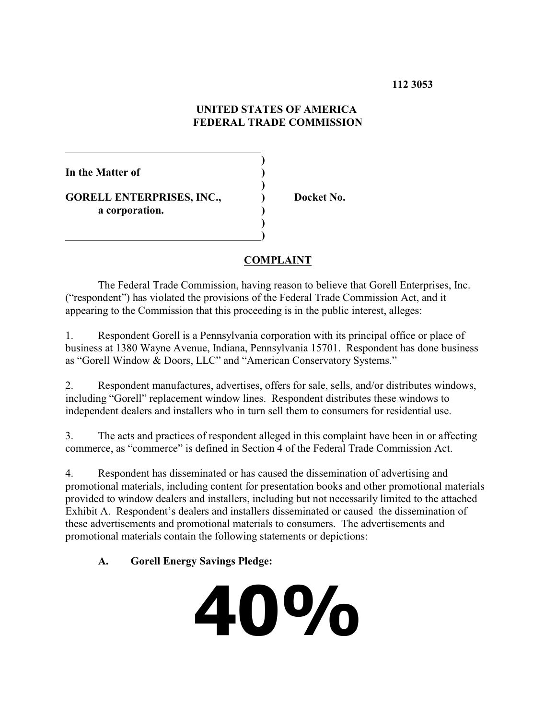### **112 3053**

### **UNITED STATES OF AMERICA FEDERAL TRADE COMMISSION**

**)**

**)**

**)**

**In the Matter of )**

**GORELL ENTERPRISES, INC., ) Docket No. a corporation. )**

 **)**

## **COMPLAINT**

The Federal Trade Commission, having reason to believe that Gorell Enterprises, Inc. ("respondent") has violated the provisions of the Federal Trade Commission Act, and it appearing to the Commission that this proceeding is in the public interest, alleges:

1. Respondent Gorell is a Pennsylvania corporation with its principal office or place of business at 1380 Wayne Avenue, Indiana, Pennsylvania 15701. Respondent has done business as "Gorell Window & Doors, LLC" and "American Conservatory Systems."

2. Respondent manufactures, advertises, offers for sale, sells, and/or distributes windows, including "Gorell" replacement window lines. Respondent distributes these windows to independent dealers and installers who in turn sell them to consumers for residential use.

3. The acts and practices of respondent alleged in this complaint have been in or affecting commerce, as "commerce" is defined in Section 4 of the Federal Trade Commission Act.

4. Respondent has disseminated or has caused the dissemination of advertising and promotional materials, including content for presentation books and other promotional materials provided to window dealers and installers, including but not necessarily limited to the attached Exhibit A. Respondent's dealers and installers disseminated or caused the dissemination of these advertisements and promotional materials to consumers. The advertisements and promotional materials contain the following statements or depictions:

## **A. Gorell Energy Savings Pledge:**

**40%**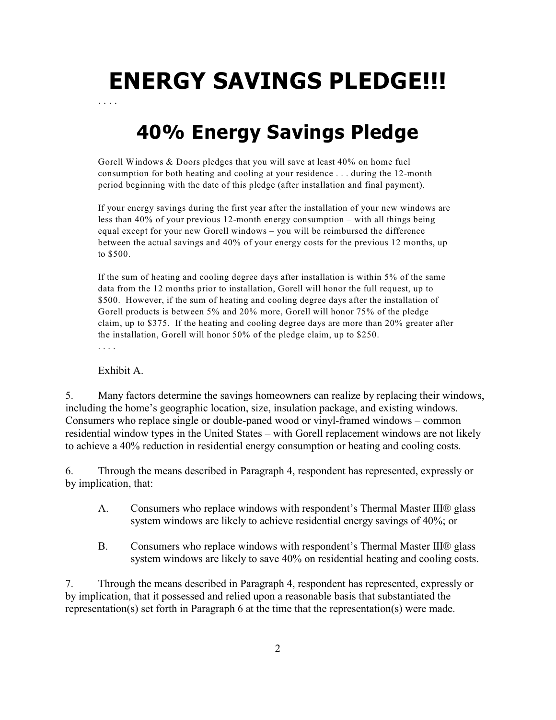# **ENERGY SAVINGS PLEDGE!!!**

**40% Energy Savings Pledge**

Gorell Windows & Doors pledges that you will save at least 40% on home fuel consumption for both heating and cooling at your residence . . . during the 12-month period beginning with the date of this pledge (after installation and final payment).

If your energy savings during the first year after the installation of your new windows are less than 40% of your previous 12-month energy consumption – with all things being equal except for your new Gorell windows – you will be reimbursed the difference between the actual savings and 40% of your energy costs for the previous 12 months, up to \$500.

If the sum of heating and cooling degree days after installation is within 5% of the same data from the 12 months prior to installation, Gorell will honor the full request, up to \$500. However, if the sum of heating and cooling degree days after the installation of Gorell products is between 5% and 20% more, Gorell will honor 75% of the pledge claim, up to \$375. If the heating and cooling degree days are more than 20% greater after the installation, Gorell will honor 50% of the pledge claim, up to \$250.

. . . .

. . . .

Exhibit A.

5. Many factors determine the savings homeowners can realize by replacing their windows, including the home's geographic location, size, insulation package, and existing windows. Consumers who replace single or double-paned wood or vinyl-framed windows – common residential window types in the United States – with Gorell replacement windows are not likely to achieve a 40% reduction in residential energy consumption or heating and cooling costs.

6. Through the means described in Paragraph 4, respondent has represented, expressly or by implication, that:

- A. Consumers who replace windows with respondent's Thermal Master III® glass system windows are likely to achieve residential energy savings of 40%; or
- B. Consumers who replace windows with respondent's Thermal Master III® glass system windows are likely to save 40% on residential heating and cooling costs.

7. Through the means described in Paragraph 4, respondent has represented, expressly or by implication, that it possessed and relied upon a reasonable basis that substantiated the representation(s) set forth in Paragraph 6 at the time that the representation(s) were made.